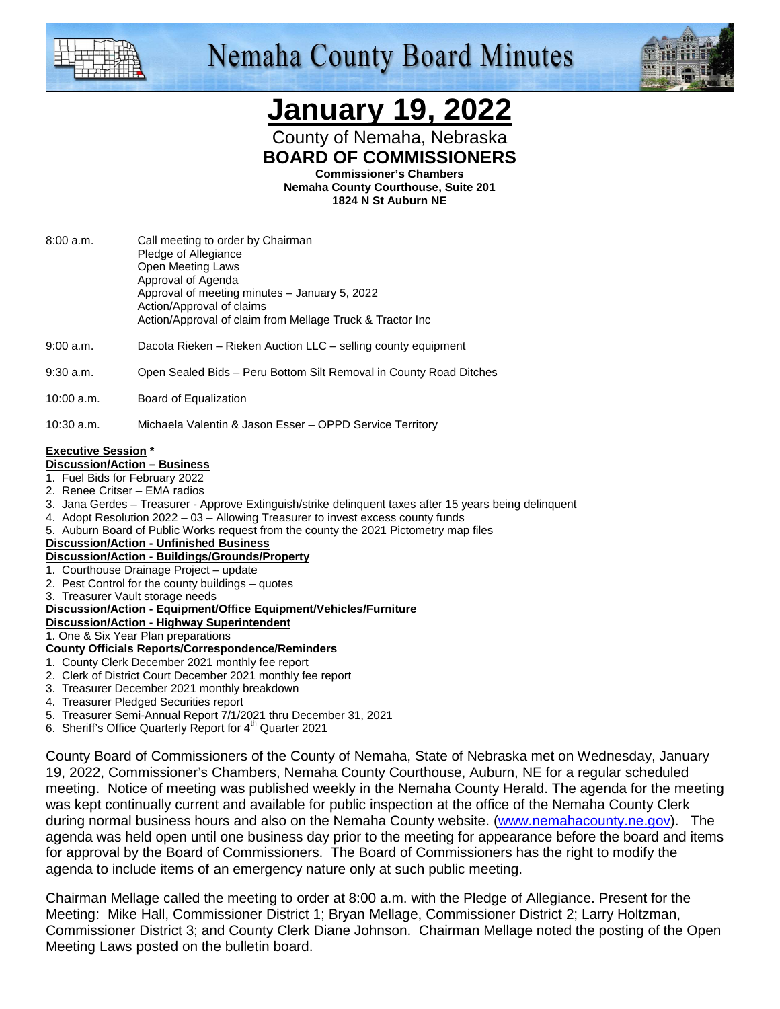

# **Nemaha County Board Minutes**



## **January 19, 2022**

County of Nemaha, Nebraska **BOARD OF COMMISSIONERS** 

**Commissioner's Chambers** 

**Nemaha County Courthouse, Suite 201 1824 N St Auburn NE** 

- 8:00 a.m. Call meeting to order by Chairman Pledge of Allegiance Open Meeting Laws Approval of Agenda Approval of meeting minutes – January 5, 2022 Action/Approval of claims Action/Approval of claim from Mellage Truck & Tractor Inc
- 9:00 a.m. Dacota Rieken Rieken Auction LLC selling county equipment
- 9:30 a.m. Open Sealed Bids Peru Bottom Silt Removal in County Road Ditches
- 10:00 a.m. Board of Equalization
- 10:30 a.m. Michaela Valentin & Jason Esser OPPD Service Territory

#### **Executive Session \***

- **Discussion/Action Business**
- 1. Fuel Bids for February 2022
- 2. Renee Critser EMA radios
- 3. Jana Gerdes Treasurer Approve Extinguish/strike delinquent taxes after 15 years being delinquent
- 4. Adopt Resolution 2022 03 Allowing Treasurer to invest excess county funds
- 5. Auburn Board of Public Works request from the county the 2021 Pictometry map files
- **Discussion/Action Unfinished Business**

#### **Discussion/Action - Buildings/Grounds/Property**

- 1. Courthouse Drainage Project update
- 2. Pest Control for the county buildings quotes
- 3. Treasurer Vault storage needs

#### **Discussion/Action - Equipment/Office Equipment/Vehicles/Furniture**

**Discussion/Action - Highway Superintendent**

#### 1. One & Six Year Plan preparations

#### **County Officials Reports/Correspondence/Reminders**

- 1. County Clerk December 2021 monthly fee report
- 2. Clerk of District Court December 2021 monthly fee report
- 3. Treasurer December 2021 monthly breakdown
- 4. Treasurer Pledged Securities report
- 5. Treasurer Semi-Annual Report 7/1/2021 thru December 31, 2021
- 6. Sheriff's Office Quarterly Report for 4<sup>th</sup> Quarter 2021

County Board of Commissioners of the County of Nemaha, State of Nebraska met on Wednesday, January 19, 2022, Commissioner's Chambers, Nemaha County Courthouse, Auburn, NE for a regular scheduled meeting. Notice of meeting was published weekly in the Nemaha County Herald. The agenda for the meeting was kept continually current and available for public inspection at the office of the Nemaha County Clerk during normal business hours and also on the Nemaha County website. (www.nemahacounty.ne.gov). The agenda was held open until one business day prior to the meeting for appearance before the board and items for approval by the Board of Commissioners. The Board of Commissioners has the right to modify the agenda to include items of an emergency nature only at such public meeting.

Chairman Mellage called the meeting to order at 8:00 a.m. with the Pledge of Allegiance. Present for the Meeting: Mike Hall, Commissioner District 1; Bryan Mellage, Commissioner District 2; Larry Holtzman, Commissioner District 3; and County Clerk Diane Johnson. Chairman Mellage noted the posting of the Open Meeting Laws posted on the bulletin board.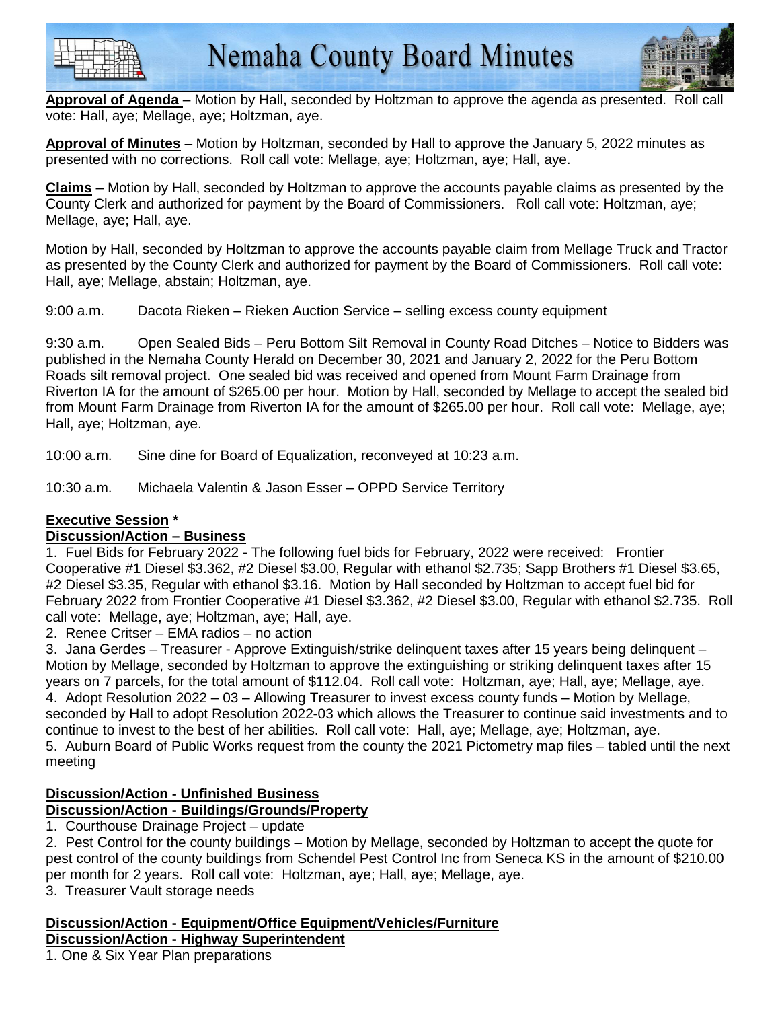



**Approval of Agenda** – Motion by Hall, seconded by Holtzman to approve the agenda as presented. Roll call vote: Hall, aye; Mellage, aye; Holtzman, aye.

**Approval of Minutes** – Motion by Holtzman, seconded by Hall to approve the January 5, 2022 minutes as presented with no corrections. Roll call vote: Mellage, aye; Holtzman, aye; Hall, aye.

**Claims** – Motion by Hall, seconded by Holtzman to approve the accounts payable claims as presented by the County Clerk and authorized for payment by the Board of Commissioners. Roll call vote: Holtzman, aye; Mellage, aye; Hall, aye.

Motion by Hall, seconded by Holtzman to approve the accounts payable claim from Mellage Truck and Tractor as presented by the County Clerk and authorized for payment by the Board of Commissioners. Roll call vote: Hall, aye; Mellage, abstain; Holtzman, aye.

9:00 a.m. Dacota Rieken – Rieken Auction Service – selling excess county equipment

9:30 a.m. Open Sealed Bids – Peru Bottom Silt Removal in County Road Ditches – Notice to Bidders was published in the Nemaha County Herald on December 30, 2021 and January 2, 2022 for the Peru Bottom Roads silt removal project. One sealed bid was received and opened from Mount Farm Drainage from Riverton IA for the amount of \$265.00 per hour. Motion by Hall, seconded by Mellage to accept the sealed bid from Mount Farm Drainage from Riverton IA for the amount of \$265.00 per hour. Roll call vote: Mellage, aye; Hall, aye; Holtzman, aye.

10:00 a.m. Sine dine for Board of Equalization, reconveyed at 10:23 a.m.

10:30 a.m. Michaela Valentin & Jason Esser – OPPD Service Territory

### **Executive Session \***

### **Discussion/Action – Business**

1. Fuel Bids for February 2022 - The following fuel bids for February, 2022 were received: Frontier Cooperative #1 Diesel \$3.362, #2 Diesel \$3.00, Regular with ethanol \$2.735; Sapp Brothers #1 Diesel \$3.65, #2 Diesel \$3.35, Regular with ethanol \$3.16. Motion by Hall seconded by Holtzman to accept fuel bid for February 2022 from Frontier Cooperative #1 Diesel \$3.362, #2 Diesel \$3.00, Regular with ethanol \$2.735. Roll call vote: Mellage, aye; Holtzman, aye; Hall, aye.

2. Renee Critser – EMA radios – no action

3. Jana Gerdes – Treasurer - Approve Extinguish/strike delinquent taxes after 15 years being delinquent – Motion by Mellage, seconded by Holtzman to approve the extinguishing or striking delinquent taxes after 15 years on 7 parcels, for the total amount of \$112.04. Roll call vote: Holtzman, aye; Hall, aye; Mellage, aye. 4. Adopt Resolution 2022 – 03 – Allowing Treasurer to invest excess county funds – Motion by Mellage, seconded by Hall to adopt Resolution 2022-03 which allows the Treasurer to continue said investments and to continue to invest to the best of her abilities. Roll call vote: Hall, aye; Mellage, aye; Holtzman, aye. 5. Auburn Board of Public Works request from the county the 2021 Pictometry map files – tabled until the next

meeting

#### **Discussion/Action - Unfinished Business Discussion/Action - Buildings/Grounds/Property**

1. Courthouse Drainage Project – update

2. Pest Control for the county buildings – Motion by Mellage, seconded by Holtzman to accept the quote for pest control of the county buildings from Schendel Pest Control Inc from Seneca KS in the amount of \$210.00 per month for 2 years. Roll call vote: Holtzman, aye; Hall, aye; Mellage, aye.

3. Treasurer Vault storage needs

#### **Discussion/Action - Equipment/Office Equipment/Vehicles/Furniture Discussion/Action - Highway Superintendent**

1. One & Six Year Plan preparations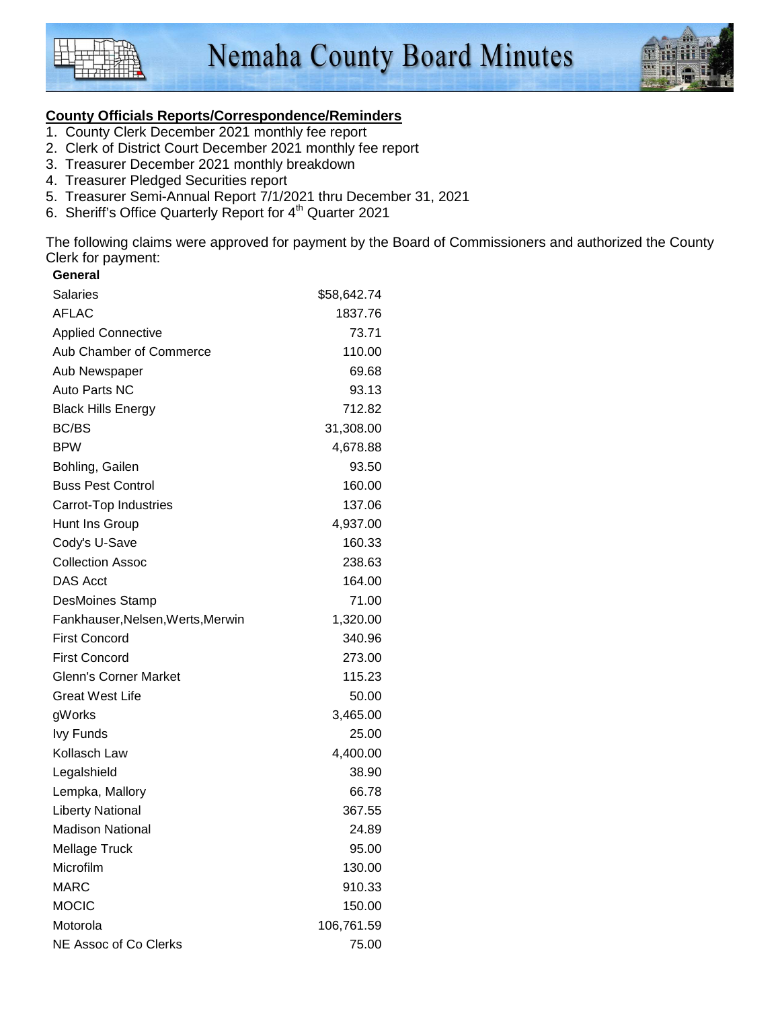



#### **County Officials Reports/Correspondence/Reminders**

- 1. County Clerk December 2021 monthly fee report
- 2. Clerk of District Court December 2021 monthly fee report
- 3. Treasurer December 2021 monthly breakdown
- 4. Treasurer Pledged Securities report
- 5. Treasurer Semi-Annual Report 7/1/2021 thru December 31, 2021
- 6. Sheriff's Office Quarterly Report for 4<sup>th</sup> Quarter 2021

The following claims were approved for payment by the Board of Commissioners and authorized the County Clerk for payment: **General** 

| General                           |             |
|-----------------------------------|-------------|
| <b>Salaries</b>                   | \$58,642.74 |
| <b>AFLAC</b>                      | 1837.76     |
| <b>Applied Connective</b>         | 73.71       |
| Aub Chamber of Commerce           | 110.00      |
| Aub Newspaper                     | 69.68       |
| Auto Parts NC                     | 93.13       |
| <b>Black Hills Energy</b>         | 712.82      |
| <b>BC/BS</b>                      | 31,308.00   |
| <b>BPW</b>                        | 4,678.88    |
| Bohling, Gailen                   | 93.50       |
| <b>Buss Pest Control</b>          | 160.00      |
| Carrot-Top Industries             | 137.06      |
| Hunt Ins Group                    | 4,937.00    |
| Cody's U-Save                     | 160.33      |
| <b>Collection Assoc</b>           | 238.63      |
| <b>DAS Acct</b>                   | 164.00      |
| <b>DesMoines Stamp</b>            | 71.00       |
| Fankhauser, Nelsen, Werts, Merwin | 1,320.00    |
| <b>First Concord</b>              | 340.96      |
| <b>First Concord</b>              | 273.00      |
| <b>Glenn's Corner Market</b>      | 115.23      |
| <b>Great West Life</b>            | 50.00       |
| gWorks                            | 3,465.00    |
| <b>Ivy Funds</b>                  | 25.00       |
| Kollasch Law                      | 4,400.00    |
| Legalshield                       | 38.90       |
| Lempka, Mallory                   | 66.78       |
| <b>Liberty National</b>           | 367.55      |
| <b>Madison National</b>           | 24.89       |
| Mellage Truck                     | 95.00       |
| Microfilm                         | 130.00      |
| <b>MARC</b>                       | 910.33      |
| <b>MOCIC</b>                      | 150.00      |
| Motorola                          | 106,761.59  |
| NE Assoc of Co Clerks             | 75.00       |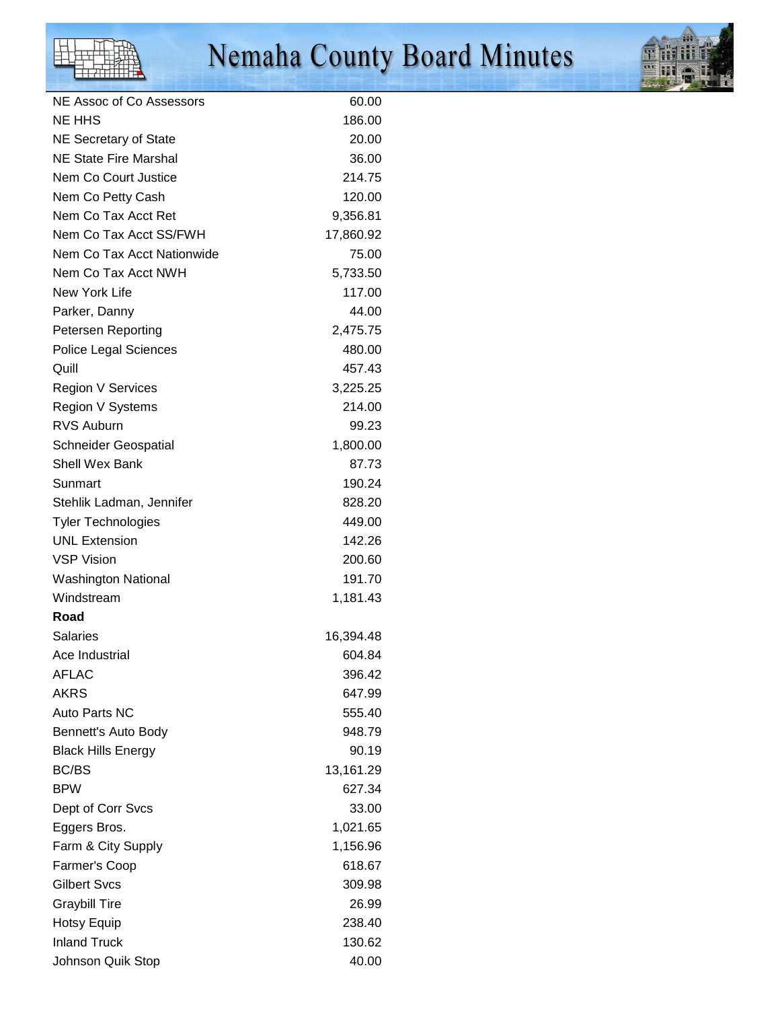# Nemaha County Board Minutes



| NE Assoc of Co Assessors     | 60.00     |
|------------------------------|-----------|
| <b>NE HHS</b>                | 186.00    |
| NE Secretary of State        | 20.00     |
| NE State Fire Marshal        | 36.00     |
| Nem Co Court Justice         | 214.75    |
| Nem Co Petty Cash            | 120.00    |
| Nem Co Tax Acct Ret          | 9,356.81  |
| Nem Co Tax Acct SS/FWH       | 17,860.92 |
| Nem Co Tax Acct Nationwide   | 75.00     |
| Nem Co Tax Acct NWH          | 5,733.50  |
| New York Life                | 117.00    |
| Parker, Danny                | 44.00     |
| Petersen Reporting           | 2,475.75  |
| <b>Police Legal Sciences</b> | 480.00    |
| Quill                        | 457.43    |
| <b>Region V Services</b>     | 3,225.25  |
| Region V Systems             | 214.00    |
| <b>RVS Auburn</b>            | 99.23     |
| <b>Schneider Geospatial</b>  | 1,800.00  |
| <b>Shell Wex Bank</b>        | 87.73     |
| Sunmart                      | 190.24    |
| Stehlik Ladman, Jennifer     | 828.20    |
| <b>Tyler Technologies</b>    | 449.00    |
| <b>UNL Extension</b>         | 142.26    |
| <b>VSP Vision</b>            | 200.60    |
| <b>Washington National</b>   | 191.70    |
| Windstream                   | 1,181.43  |
| Road                         |           |
| <b>Salaries</b>              | 16,394.48 |
| Ace Industrial               | 604.84    |
| AFLAC                        | 396.42    |
| <b>AKRS</b>                  | 647.99    |
| Auto Parts NC                | 555.40    |
| Bennett's Auto Body          | 948.79    |
| <b>Black Hills Energy</b>    | 90.19     |
| BC/BS                        | 13,161.29 |
| <b>BPW</b>                   | 627.34    |
| Dept of Corr Svcs            | 33.00     |
| Eggers Bros.                 | 1,021.65  |
| Farm & City Supply           | 1,156.96  |
| Farmer's Coop                | 618.67    |
| Gilbert Svcs                 | 309.98    |
| <b>Graybill Tire</b>         | 26.99     |
| <b>Hotsy Equip</b>           | 238.40    |
| <b>Inland Truck</b>          | 130.62    |
| Johnson Quik Stop            | 40.00     |